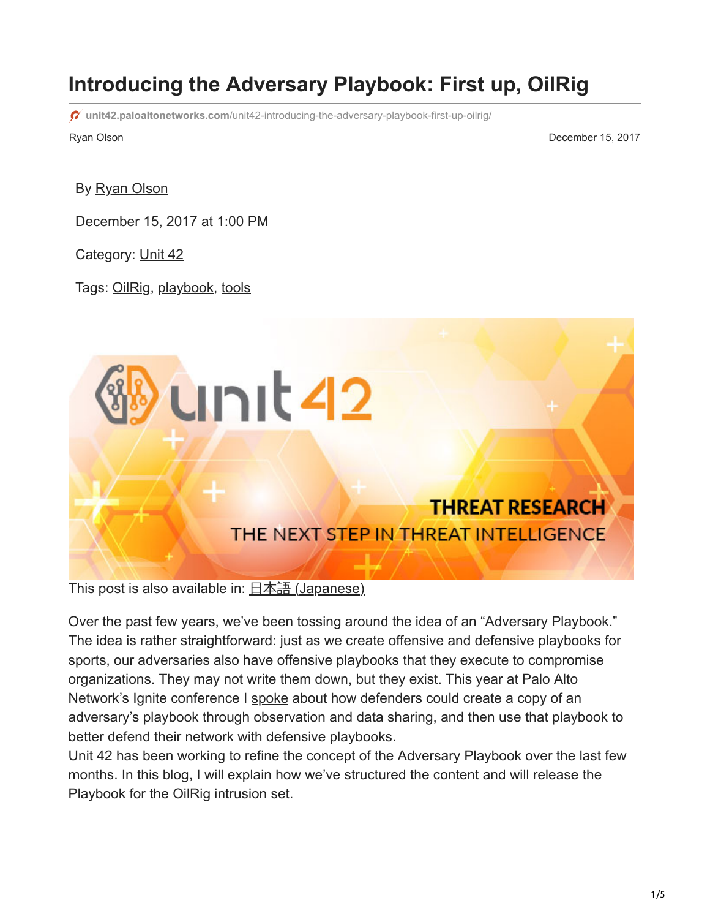# **Introducing the Adversary Playbook: First up, OilRig**

**unit42.paloaltonetworks.com**[/unit42-introducing-the-adversary-playbook-first-up-oilrig/](https://unit42.paloaltonetworks.com/unit42-introducing-the-adversary-playbook-first-up-oilrig/)

Ryan Olson December 15, 2017

By [Ryan Olson](https://unit42.paloaltonetworks.com/author/ryan-olson/)

December 15, 2017 at 1:00 PM

Category: [Unit 42](https://unit42.paloaltonetworks.com/category/unit42/)

Tags: [OilRig,](https://unit42.paloaltonetworks.com/tag/oilrig/) [playbook](https://unit42.paloaltonetworks.com/tag/playbook/), [tools](https://unit42.paloaltonetworks.com/tag/tools/)

This post is also available in:  $\underline{\Box}$   $\underline{\Diamond}$  [\(Japanese\)](https://unit42.paloaltonetworks.jp/unit42-introducing-the-adversary-playbook-first-up-oilrig/)

Over the past few years, we've been tossing around the idea of an "Adversary Playbook." The idea is rather straightforward: just as we create offensive and defensive playbooks for sports, our adversaries also have offensive playbooks that they execute to compromise organizations. They may not write them down, but they exist. This year at Palo Alto Network's Ignite conference I [spoke](https://www.youtube.com/watch?v=RcWDmLF34wo) about how defenders could create a copy of an adversary's playbook through observation and data sharing, and then use that playbook to better defend their network with defensive playbooks.

Unit 42 has been working to refine the concept of the Adversary Playbook over the last few months. In this blog, I will explain how we've structured the content and will release the Playbook for the OilRig intrusion set.

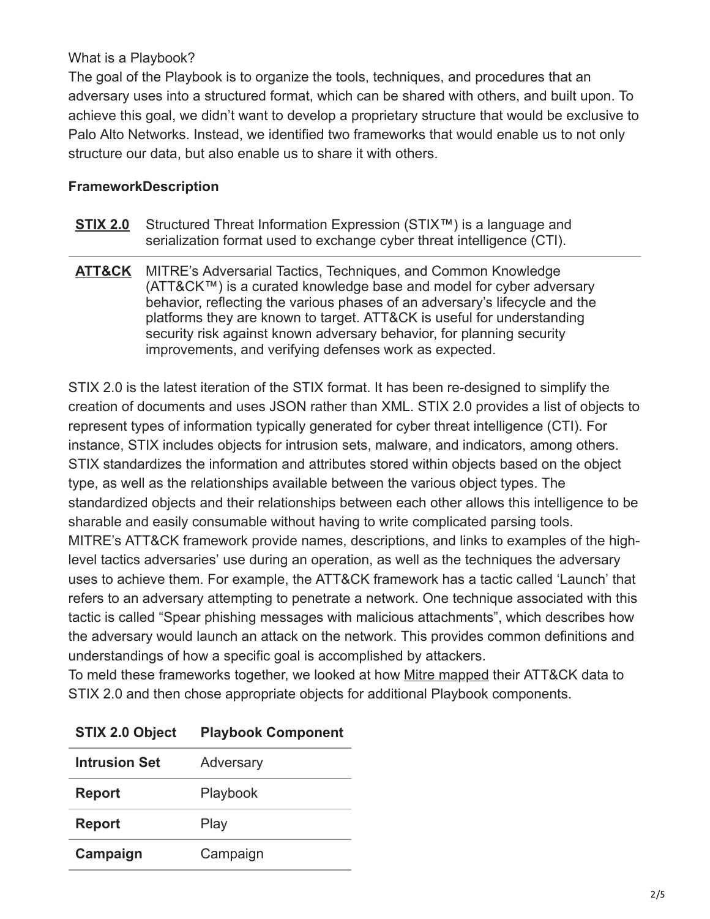#### What is a Playbook?

The goal of the Playbook is to organize the tools, techniques, and procedures that an adversary uses into a structured format, which can be shared with others, and built upon. To achieve this goal, we didn't want to develop a proprietary structure that would be exclusive to Palo Alto Networks. Instead, we identified two frameworks that would enable us to not only structure our data, but also enable us to share it with others.

### **FrameworkDescription**

- **[STIX 2.0](https://oasis-open.github.io/cti-documentation/stix/intro)** Structured Threat Information Expression (STIX™) is a language and serialization format used to exchange cyber threat intelligence (CTI).
- **[ATT&CK](https://attack.mitre.org/wiki/Main_Page)** MITRE's Adversarial Tactics, Techniques, and Common Knowledge (ATT&CK™) is a curated knowledge base and model for cyber adversary behavior, reflecting the various phases of an adversary's lifecycle and the platforms they are known to target. ATT&CK is useful for understanding security risk against known adversary behavior, for planning security improvements, and verifying defenses work as expected.

STIX 2.0 is the latest iteration of the STIX format. It has been re-designed to simplify the creation of documents and uses JSON rather than XML. STIX 2.0 provides a list of objects to represent types of information typically generated for cyber threat intelligence (CTI). For instance, STIX includes objects for intrusion sets, malware, and indicators, among others. STIX standardizes the information and attributes stored within objects based on the object type, as well as the relationships available between the various object types. The standardized objects and their relationships between each other allows this intelligence to be sharable and easily consumable without having to write complicated parsing tools. MITRE's ATT&CK framework provide names, descriptions, and links to examples of the highlevel tactics adversaries' use during an operation, as well as the techniques the adversary uses to achieve them. For example, the ATT&CK framework has a tactic called 'Launch' that refers to an adversary attempting to penetrate a network. One technique associated with this tactic is called "Spear phishing messages with malicious attachments", which describes how the adversary would launch an attack on the network. This provides common definitions and understandings of how a specific goal is accomplished by attackers.

To meld these frameworks together, we looked at how [Mitre mapped](https://github.com/mitre/cti) their ATT&CK data to STIX 2.0 and then chose appropriate objects for additional Playbook components.

| <b>Intrusion Set</b> | Adversary |
|----------------------|-----------|
| <b>Report</b>        | Playbook  |
| <b>Report</b>        | Play      |
| Campaign             | Campaign  |

# **STIX 2.0 Object Playbook Component**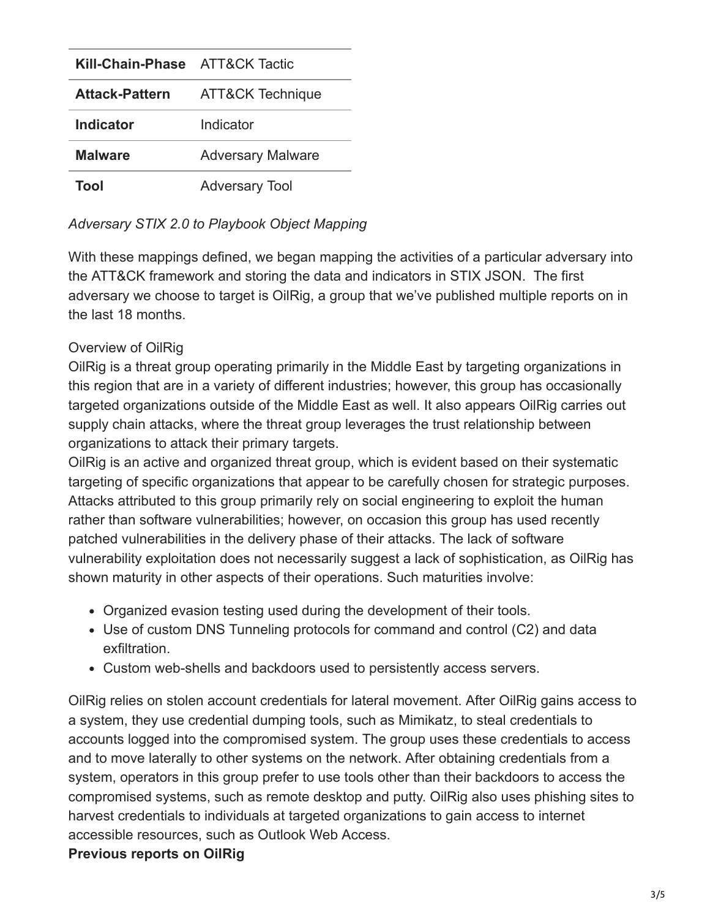| <b>Kill-Chain-Phase</b> ATT&CK Tactic |                          |
|---------------------------------------|--------------------------|
| <b>Attack-Pattern</b>                 | ATT&CK Technique         |
| Indicator                             | Indicator                |
| <b>Malware</b>                        | <b>Adversary Malware</b> |
| Tool                                  | <b>Adversary Tool</b>    |

*Adversary STIX 2.0 to Playbook Object Mapping*

With these mappings defined, we began mapping the activities of a particular adversary into the ATT&CK framework and storing the data and indicators in STIX JSON. The first adversary we choose to target is OilRig, a group that we've published multiple reports on in the last 18 months.

# Overview of OilRig

OilRig is a threat group operating primarily in the Middle East by targeting organizations in this region that are in a variety of different industries; however, this group has occasionally targeted organizations outside of the Middle East as well. It also appears OilRig carries out supply chain attacks, where the threat group leverages the trust relationship between organizations to attack their primary targets.

OilRig is an active and organized threat group, which is evident based on their systematic targeting of specific organizations that appear to be carefully chosen for strategic purposes. Attacks attributed to this group primarily rely on social engineering to exploit the human rather than software vulnerabilities; however, on occasion this group has used recently patched vulnerabilities in the delivery phase of their attacks. The lack of software vulnerability exploitation does not necessarily suggest a lack of sophistication, as OilRig has shown maturity in other aspects of their operations. Such maturities involve:

- Organized evasion testing used during the development of their tools.
- Use of custom DNS Tunneling protocols for command and control (C2) and data exfiltration.
- Custom web-shells and backdoors used to persistently access servers.

OilRig relies on stolen account credentials for lateral movement. After OilRig gains access to a system, they use credential dumping tools, such as Mimikatz, to steal credentials to accounts logged into the compromised system. The group uses these credentials to access and to move laterally to other systems on the network. After obtaining credentials from a system, operators in this group prefer to use tools other than their backdoors to access the compromised systems, such as remote desktop and putty. OilRig also uses phishing sites to harvest credentials to individuals at targeted organizations to gain access to internet accessible resources, such as Outlook Web Access.

# **Previous reports on OilRig**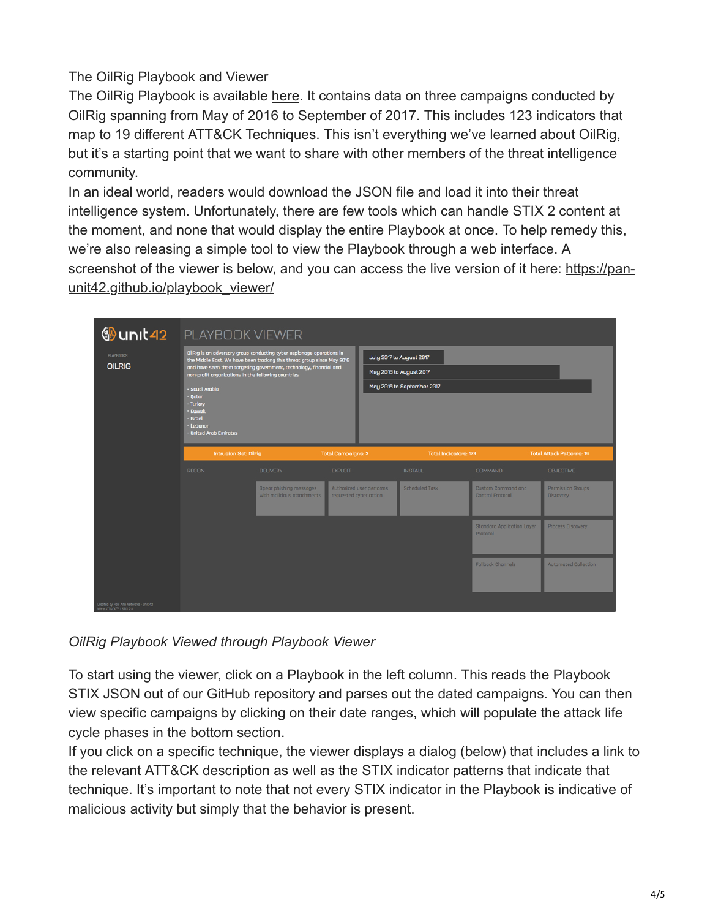## The OilRig Playbook and Viewer

The OilRig Playbook is available [here.](https://raw.githubusercontent.com/pan-unit42/playbook_viewer/master/playbook_json/oilrig.json) It contains data on three campaigns conducted by OilRig spanning from May of 2016 to September of 2017. This includes 123 indicators that map to 19 different ATT&CK Techniques. This isn't everything we've learned about OilRig, but it's a starting point that we want to share with other members of the threat intelligence community.

In an ideal world, readers would download the JSON file and load it into their threat intelligence system. Unfortunately, there are few tools which can handle STIX 2 content at the moment, and none that would display the entire Playbook at once. To help remedy this, we're also releasing a simple tool to view the Playbook through a web interface. A [screenshot of the viewer is below, and you can access the live version of it here: https://pan](https://pan-unit42.github.io/playbook_viewer/)unit42.github.io/playbook\_viewer/

| <sup>     2010 LINU</sup>                                          | <b>PLAYBOOK VIEWER</b>                                                                                                                                                                                                                                                                                                                                                                   |                                                       |                        |                                                                                   |                |                                        |                                |                       |  |
|--------------------------------------------------------------------|------------------------------------------------------------------------------------------------------------------------------------------------------------------------------------------------------------------------------------------------------------------------------------------------------------------------------------------------------------------------------------------|-------------------------------------------------------|------------------------|-----------------------------------------------------------------------------------|----------------|----------------------------------------|--------------------------------|-----------------------|--|
| <b>PLAYBOOKS</b><br><b>OILRIG</b>                                  | OilRig is an adversary group conducting cyber espionage operations in<br>the Middle East. We have been tracking this threat group since May 2016<br>and have seen them targeting government, technology, financial and<br>non-profit organizations in the following countries:<br>- Saudi Arabia<br>$-$ Oatar<br>- Turkey<br>- Kuwait<br>- Israel<br>- Lebanon<br>- United Arab Emirates |                                                       |                        | July 2017 to August 2017<br>May 2016 to August 2017<br>May 2016 to September 2017 |                |                                        |                                |                       |  |
|                                                                    |                                                                                                                                                                                                                                                                                                                                                                                          |                                                       |                        |                                                                                   |                |                                        |                                | Intrusion Set: OilRig |  |
|                                                                    |                                                                                                                                                                                                                                                                                                                                                                                          | <b>RECON</b>                                          | <b>DELIVERY</b>        | <b>EXPLOIT</b>                                                                    |                | <b>INSTALL</b>                         | <b>COMMAND</b>                 | <b>OBJECTIVE</b>      |  |
|                                                                    |                                                                                                                                                                                                                                                                                                                                                                                          | Spear phishing messages<br>with malicious attachments | requested cyber action | Authorized user performs                                                          | Scheduled Task | Custom Command and<br>Control Protocol | Permission Groups<br>Discovery |                       |  |
|                                                                    |                                                                                                                                                                                                                                                                                                                                                                                          |                                                       |                        |                                                                                   |                | Standard Application Layer<br>Protocol | Process Discovery              |                       |  |
|                                                                    |                                                                                                                                                                                                                                                                                                                                                                                          |                                                       |                        |                                                                                   |                | <b>Fallback Channels</b>               | <b>Automated Collection</b>    |                       |  |
| Created by Palo Alto Networks - Unit 42<br>Mitre ATT&CK™ I ST0(2.0 |                                                                                                                                                                                                                                                                                                                                                                                          |                                                       |                        |                                                                                   |                |                                        |                                |                       |  |

*OilRig Playbook Viewed through Playbook Viewer*

To start using the viewer, click on a Playbook in the left column. This reads the Playbook STIX JSON out of our GitHub repository and parses out the dated campaigns. You can then view specific campaigns by clicking on their date ranges, which will populate the attack life cycle phases in the bottom section.

If you click on a specific technique, the viewer displays a dialog (below) that includes a link to the relevant ATT&CK description as well as the STIX indicator patterns that indicate that technique. It's important to note that not every STIX indicator in the Playbook is indicative of malicious activity but simply that the behavior is present.